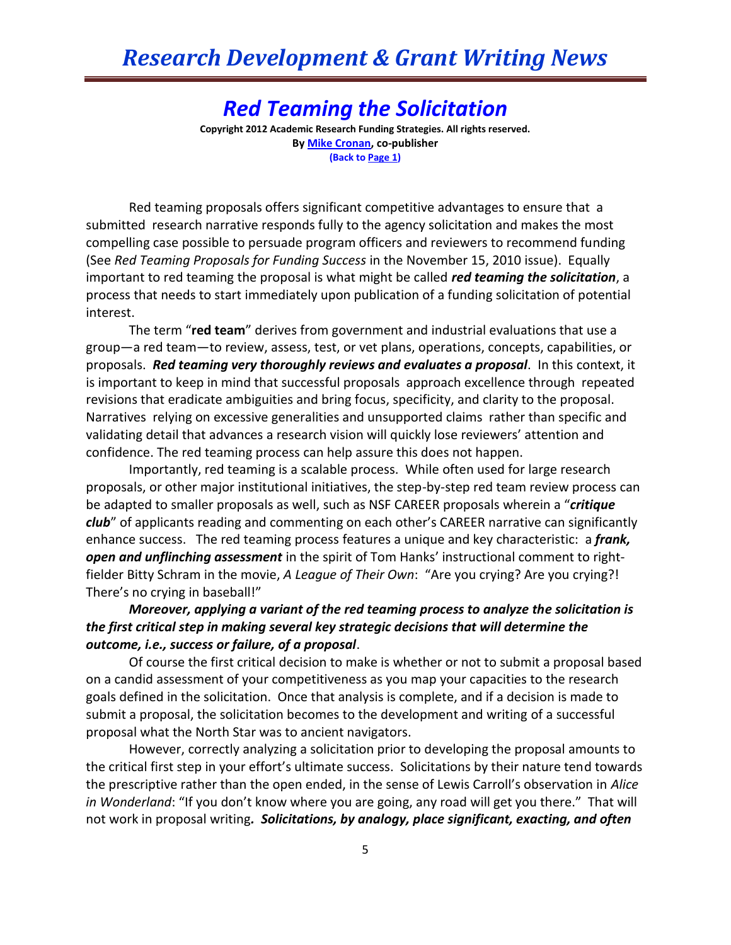## *Red Teaming the Solicitation*

**Copyright 2012 Academic Research Funding Strategies. All rights reserved. B[y Mike Cronan,](mailto:mjcronan@gmail.com) co-publisher (Back to Page 1)**

Red teaming proposals offers significant competitive advantages to ensure that a submitted research narrative responds fully to the agency solicitation and makes the most compelling case possible to persuade program officers and reviewers to recommend funding (See *Red Teaming Proposals for Funding Success* in the November 15, 2010 issue). Equally important to red teaming the proposal is what might be called *red teaming the solicitation*, a process that needs to start immediately upon publication of a funding solicitation of potential interest.

The term "**red team**" derives from government and industrial evaluations that use a group—a red team—to review, assess, test, or vet plans, operations, concepts, capabilities, or proposals. *Red teaming very thoroughly reviews and evaluates a proposal*. In this context, it is important to keep in mind that successful proposals approach excellence through repeated revisions that eradicate ambiguities and bring focus, specificity, and clarity to the proposal. Narratives relying on excessive generalities and unsupported claims rather than specific and validating detail that advances a research vision will quickly lose reviewers' attention and confidence. The red teaming process can help assure this does not happen.

Importantly, red teaming is a scalable process. While often used for large research proposals, or other major institutional initiatives, the step-by-step red team review process can be adapted to smaller proposals as well, such as NSF CAREER proposals wherein a "*critique club*" of applicants reading and commenting on each other's CAREER narrative can significantly enhance success. The red teaming process features a unique and key characteristic: a *frank, open and unflinching assessment* in the spirit of Tom Hanks' instructional comment to rightfielder Bitty Schram in the movie, *A League of Their Own*: "Are you crying? Are you crying?! There's no crying in baseball!"

*Moreover, applying a variant of the red teaming process to analyze the solicitation is the first critical step in making several key strategic decisions that will determine the outcome, i.e., success or failure, of a proposal*.

Of course the first critical decision to make is whether or not to submit a proposal based on a candid assessment of your competitiveness as you map your capacities to the research goals defined in the solicitation. Once that analysis is complete, and if a decision is made to submit a proposal, the solicitation becomes to the development and writing of a successful proposal what the North Star was to ancient navigators.

However, correctly analyzing a solicitation prior to developing the proposal amounts to the critical first step in your effort's ultimate success. Solicitations by their nature tend towards the prescriptive rather than the open ended, in the sense of Lewis Carroll's observation in *Alice in Wonderland*: "If you don't know where you are going, any road will get you there." That will not work in proposal writing*. Solicitations, by analogy, place significant, exacting, and often*